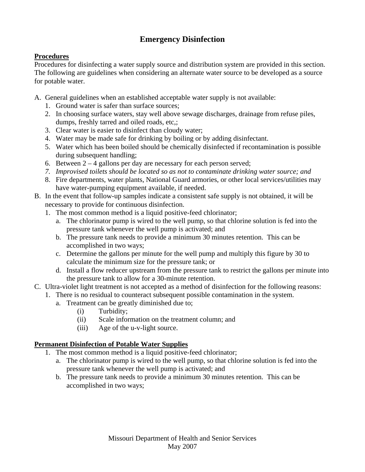# **Emergency Disinfection**

### **Procedures**

Procedures for disinfecting a water supply source and distribution system are provided in this section. The following are guidelines when considering an alternate water source to be developed as a source for potable water.

- A. General guidelines when an established acceptable water supply is not available:
	- 1. Ground water is safer than surface sources;
	- 2. In choosing surface waters, stay well above sewage discharges, drainage from refuse piles, dumps, freshly tarred and oiled roads, etc,;
	- 3. Clear water is easier to disinfect than cloudy water;
	- 4. Water may be made safe for drinking by boiling or by adding disinfectant.
	- 5. Water which has been boiled should be chemically disinfected if recontamination is possible during subsequent handling;
	- 6. Between  $2 4$  gallons per day are necessary for each person served;
	- *7. Improvised toilets should be located so as not to contaminate drinking water source; and*
	- 8. Fire departments, water plants, National Guard armories, or other local services/utilities may have water-pumping equipment available, if needed.
- B. In the event that follow-up samples indicate a consistent safe supply is not obtained, it will be necessary to provide for continuous disinfection.
	- 1. The most common method is a liquid positive-feed chlorinator;
		- a. The chlorinator pump is wired to the well pump, so that chlorine solution is fed into the pressure tank whenever the well pump is activated; and
		- b. The pressure tank needs to provide a minimum 30 minutes retention. This can be accomplished in two ways;
		- c. Determine the gallons per minute for the well pump and multiply this figure by 30 to calculate the minimum size for the pressure tank; or
		- d. Install a flow reducer upstream from the pressure tank to restrict the gallons per minute into the pressure tank to allow for a 30-minute retention.
- C. Ultra-violet light treatment is not accepted as a method of disinfection for the following reasons:
	- 1. There is no residual to counteract subsequent possible contamination in the system.
		- a. Treatment can be greatly diminished due to;
			- (i) Turbidity;
			- (ii) Scale information on the treatment column; and
			- (iii) Age of the u-v-light source.

## **Permanent Disinfection of Potable Water Supplies**

- 1. The most common method is a liquid positive-feed chlorinator;
	- a. The chlorinator pump is wired to the well pump, so that chlorine solution is fed into the pressure tank whenever the well pump is activated; and
	- b. The pressure tank needs to provide a minimum 30 minutes retention. This can be accomplished in two ways;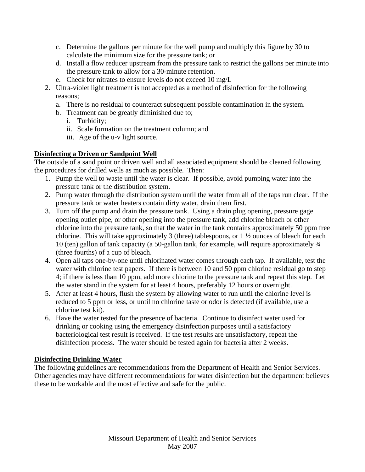- c. Determine the gallons per minute for the well pump and multiply this figure by 30 to calculate the minimum size for the pressure tank; or
- d. Install a flow reducer upstream from the pressure tank to restrict the gallons per minute into the pressure tank to allow for a 30-minute retention.
- e. Check for nitrates to ensure levels do not exceed 10 mg/L
- 2. Ultra-violet light treatment is not accepted as a method of disinfection for the following reasons;
	- a. There is no residual to counteract subsequent possible contamination in the system.
	- b. Treatment can be greatly diminished due to;
		- i. Turbidity;
		- ii. Scale formation on the treatment column; and
		- iii. Age of the u-v light source.

### **Disinfecting a Driven or Sandpoint Well**

The outside of a sand point or driven well and all associated equipment should be cleaned following the procedures for drilled wells as much as possible. Then:

- 1. Pump the well to waste until the water is clear. If possible, avoid pumping water into the pressure tank or the distribution system.
- 2. Pump water through the distribution system until the water from all of the taps run clear. If the pressure tank or water heaters contain dirty water, drain them first.
- 3. Turn off the pump and drain the pressure tank. Using a drain plug opening, pressure gage opening outlet pipe, or other opening into the pressure tank, add chlorine bleach or other chlorine into the pressure tank, so that the water in the tank contains approximately 50 ppm free chlorine. This will take approximately 3 (three) tablespoons, or 1 ½ ounces of bleach for each 10 (ten) gallon of tank capacity (a 50-gallon tank, for example, will require approximately ¾ (three fourths) of a cup of bleach.
- 4. Open all taps one-by-one until chlorinated water comes through each tap. If available, test the water with chlorine test papers. If there is between 10 and 50 ppm chlorine residual go to step 4; if there is less than 10 ppm, add more chlorine to the pressure tank and repeat this step. Let the water stand in the system for at least 4 hours, preferably 12 hours or overnight.
- 5. After at least 4 hours, flush the system by allowing water to run until the chlorine level is reduced to 5 ppm or less, or until no chlorine taste or odor is detected (if available, use a chlorine test kit).
- 6. Have the water tested for the presence of bacteria. Continue to disinfect water used for drinking or cooking using the emergency disinfection purposes until a satisfactory bacteriological test result is received. If the test results are unsatisfactory, repeat the disinfection process. The water should be tested again for bacteria after 2 weeks.

#### **Disinfecting Drinking Water**

The following guidelines are recommendations from the Department of Health and Senior Services. Other agencies may have different recommendations for water disinfection but the department believes these to be workable and the most effective and safe for the public.